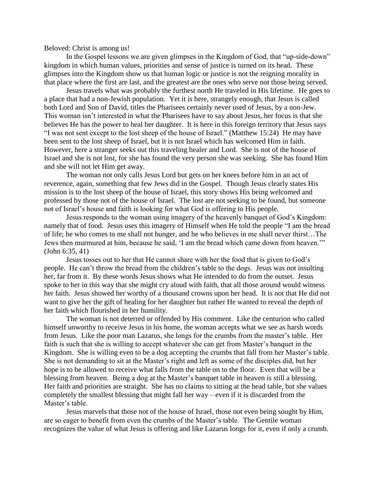Beloved: Christ is among us!

In the Gospel lessons we are given glimpses in the Kingdom of God, that "up-side-down" kingdom in which human values, priorities and sense of justice is turned on its head. These glimpses into the Kingdom show us that human logic or justice is not the reigning morality in that place where the first are last, and the greatest are the ones who serve not those being served.

Jesus travels what was probably the furthest north He traveled in His lifetime. He goes to a place that had a non-Jewish population. Yet it is here, strangely enough, that Jesus is called both Lord and Son of David, titles the Pharisees certainly never used of Jesus, by a non-Jew. This woman isn't interested in what the Pharisees have to say about Jesus, her focus is that she believes He has the power to heal her daughter. It is here in this foreign territory that Jesus says "I was not sent except to the lost sheep of the house of Israel." (Matthew 15:24)He may have been sent to the lost sheep of Israel, but it is not Israel which has welcomed Him in faith. However, here a stranger seeks out this traveling healer and Lord. She is not of the house of Israel and she is not lost, for she has found the very person she was seeking. She has found Him and she will not let Him get away.

The woman not only calls Jesus Lord but gets on her knees before him in an act of reverence, again, something that few Jews did in the Gospel. Though Jesus clearly states His mission is to the lost sheep of the house of Israel, this story shows His being welcomed and professed by those not of the house of Israel. The lost are not seeking to be found, but someone not of Israel's house and faith is looking for what God is offering to His people.

Jesus responds to the woman using imagery of the heavenly banquet of God's Kingdom: namely that of food. Jesus uses this imagery of Himself when He told the people "I am the bread of life; he who comes to me shall not hunger, and he who believes in me shall never thirst…The Jews then murmured at him, because he said, 'I am the bread which came down from heaven.'" (John 6:35, 41)

Jesus tosses out to her that He cannot share with her the food that is given to God's people. He can't throw the bread from the children's table to the dogs. Jesus was not insulting her, far from it. By these words Jesus shows what He intended to do from the outset. Jesus spoke to her in this way that she might cry aloud with faith, that all those around would witness her faith. Jesus showed her worthy of a thousand crowns upon her head. It is not that He did not want to give her the gift of healing for her daughter but rather He wanted to reveal the depth of her faith which flourished in her humility.

The woman is not deterred or offended by His comment. Like the centurion who called himself unworthy to receive Jesus in his home, the woman accepts what we see as harsh words from Jesus. Like the [poor man Lazarus,](http://www.biblegateway.com/passage/?search=Luke%2016:19-31&version=ESV) she longs for the crumbs from the master's table. Her faith is such that she is willing to accept whatever she can get from Master's banquet in the Kingdom. She is willing even to be a dog accepting the crumbs that fall from her Master's table. She is not demanding to sit at the Master's right and left as some of the disciples did, but her hope is to be allowed to receive what falls from the table on to the floor. Even that will be a blessing from heaven. Being a dog at the Master's banquet table in heaven is still a blessing. Her faith and priorities are straight. She has no claims to sitting at the head table, but she values completely the smallest blessing that might fall her way – even if it is discarded from the Master's table.

Jesus marvels that those not of the house of Israel, those not even being sought by Him, are so eager to benefit from even the crumbs of the Master's table. The Gentile woman recognizes the value of what Jesus is offering and like Lazarus longs for it, even if only a crumb.